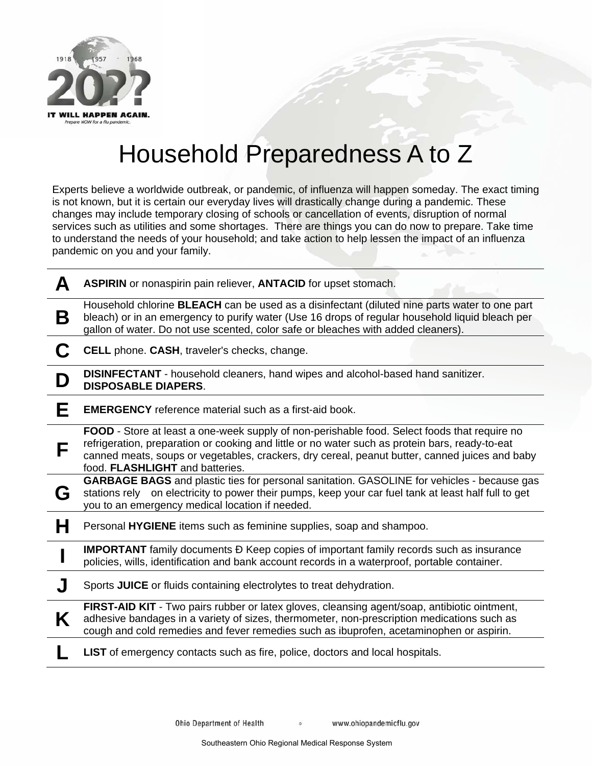

## Household Preparedness A to Z

Experts believe a worldwide outbreak, or pandemic, of influenza will happen someday. The exact timing is not known, but it is certain our everyday lives will drastically change during a pandemic. These changes may include temporary closing of schools or cancellation of events, disruption of normal services such as utilities and some shortages. There are things you can do now to prepare. Take time to understand the needs of your household; and take action to help lessen the impact of an influenza pandemic on you and your family.

| Д | <b>ASPIRIN</b> or nonaspirin pain reliever, <b>ANTACID</b> for upset stomach.                                                                                                                                                                                                                                                        |
|---|--------------------------------------------------------------------------------------------------------------------------------------------------------------------------------------------------------------------------------------------------------------------------------------------------------------------------------------|
| Β | Household chlorine <b>BLEACH</b> can be used as a disinfectant (diluted nine parts water to one part<br>bleach) or in an emergency to purify water (Use 16 drops of regular household liquid bleach per<br>gallon of water. Do not use scented, color safe or bleaches with added cleaners).                                         |
| C | CELL phone. CASH, traveler's checks, change.                                                                                                                                                                                                                                                                                         |
| D | <b>DISINFECTANT</b> - household cleaners, hand wipes and alcohol-based hand sanitizer.<br><b>DISPOSABLE DIAPERS.</b>                                                                                                                                                                                                                 |
| Е | <b>EMERGENCY</b> reference material such as a first-aid book.                                                                                                                                                                                                                                                                        |
| F | FOOD - Store at least a one-week supply of non-perishable food. Select foods that require no<br>refrigeration, preparation or cooking and little or no water such as protein bars, ready-to-eat<br>canned meats, soups or vegetables, crackers, dry cereal, peanut butter, canned juices and baby<br>food. FLASHLIGHT and batteries. |
| G | <b>GARBAGE BAGS</b> and plastic ties for personal sanitation. GASOLINE for vehicles - because gas<br>stations rely on electricity to power their pumps, keep your car fuel tank at least half full to get<br>you to an emergency medical location if needed.                                                                         |
| н | Personal HYGIENE items such as feminine supplies, soap and shampoo.                                                                                                                                                                                                                                                                  |
| I | <b>IMPORTANT</b> family documents <b>Đ</b> Keep copies of important family records such as insurance<br>policies, wills, identification and bank account records in a waterproof, portable container.                                                                                                                                |
| J | Sports JUICE or fluids containing electrolytes to treat dehydration.                                                                                                                                                                                                                                                                 |
| K | FIRST-AID KIT - Two pairs rubber or latex gloves, cleansing agent/soap, antibiotic ointment,<br>adhesive bandages in a variety of sizes, thermometer, non-prescription medications such as<br>cough and cold remedies and fever remedies such as ibuprofen, acetaminophen or aspirin.                                                |
|   | <b>LIST</b> of emergency contacts such as fire, police, doctors and local hospitals.                                                                                                                                                                                                                                                 |
|   |                                                                                                                                                                                                                                                                                                                                      |